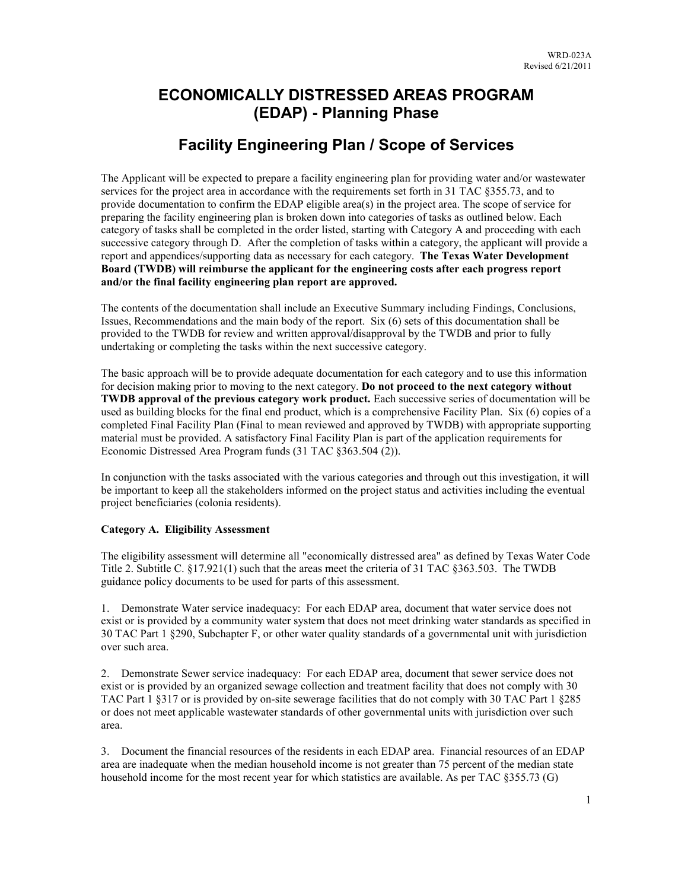# **ECONOMICALLY DISTRESSED AREAS PROGRAM (EDAP) - Planning Phase**

# **Facility Engineering Plan / Scope of Services**

The Applicant will be expected to prepare a facility engineering plan for providing water and/or wastewater services for the project area in accordance with the requirements set forth in 31 TAC §355.73, and to provide documentation to confirm the EDAP eligible area(s) in the project area. The scope of service for preparing the facility engineering plan is broken down into categories of tasks as outlined below. Each category of tasks shall be completed in the order listed, starting with Category A and proceeding with each successive category through D. After the completion of tasks within a category, the applicant will provide a report and appendices/supporting data as necessary for each category. **The Texas Water Development Board (TWDB) will reimburse the applicant for the engineering costs after each progress report and/or the final facility engineering plan report are approved.**

The contents of the documentation shall include an Executive Summary including Findings, Conclusions, Issues, Recommendations and the main body of the report. Six (6) sets of this documentation shall be provided to the TWDB for review and written approval/disapproval by the TWDB and prior to fully undertaking or completing the tasks within the next successive category.

The basic approach will be to provide adequate documentation for each category and to use this information for decision making prior to moving to the next category. **Do not proceed to the next category without TWDB approval of the previous category work product.** Each successive series of documentation will be used as building blocks for the final end product, which is a comprehensive Facility Plan. Six (6) copies of a completed Final Facility Plan (Final to mean reviewed and approved by TWDB) with appropriate supporting material must be provided. A satisfactory Final Facility Plan is part of the application requirements for Economic Distressed Area Program funds (31 TAC §363.504 (2)).

In conjunction with the tasks associated with the various categories and through out this investigation, it will be important to keep all the stakeholders informed on the project status and activities including the eventual project beneficiaries (colonia residents).

### **Category A. Eligibility Assessment**

The eligibility assessment will determine all "economically distressed area" as defined by Texas Water Code Title 2. Subtitle C. §17.921(1) such that the areas meet the criteria of 31 TAC §363.503. The TWDB guidance policy documents to be used for parts of this assessment.

1. Demonstrate Water service inadequacy: For each EDAP area, document that water service does not exist or is provided by a community water system that does not meet drinking water standards as specified in 30 TAC Part 1 §290, Subchapter F, or other water quality standards of a governmental unit with jurisdiction over such area.

2. Demonstrate Sewer service inadequacy: For each EDAP area, document that sewer service does not exist or is provided by an organized sewage collection and treatment facility that does not comply with 30 TAC Part 1 §317 or is provided by on-site sewerage facilities that do not comply with 30 TAC Part 1 §285 or does not meet applicable wastewater standards of other governmental units with jurisdiction over such area.

3. Document the financial resources of the residents in each EDAP area. Financial resources of an EDAP area are inadequate when the median household income is not greater than 75 percent of the median state household income for the most recent year for which statistics are available. As per TAC §355.73 (G)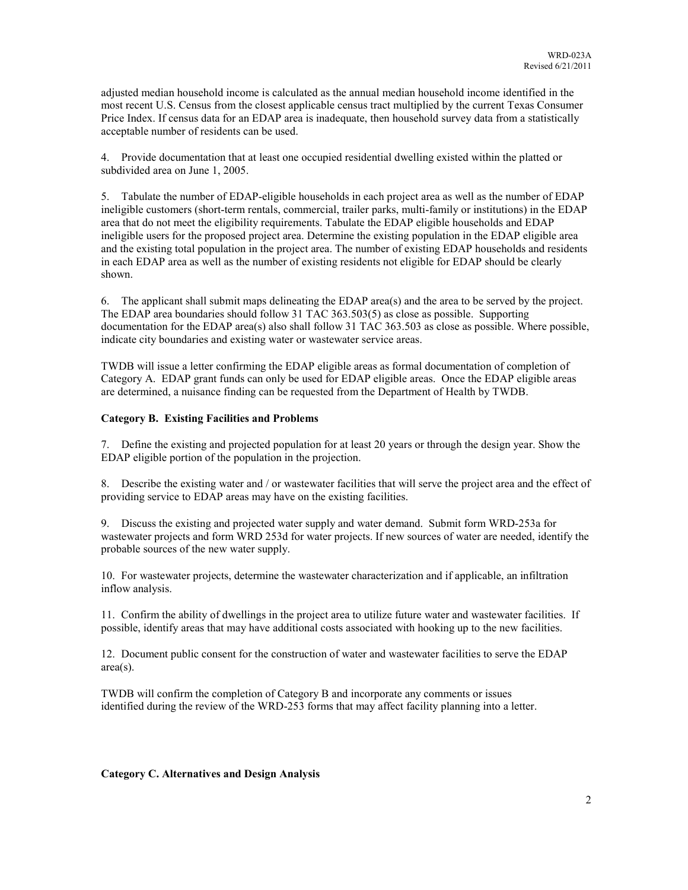adjusted median household income is calculated as the annual median household income identified in the most recent U.S. Census from the closest applicable census tract multiplied by the current Texas Consumer Price Index. If census data for an EDAP area is inadequate, then household survey data from a statistically acceptable number of residents can be used.

4. Provide documentation that at least one occupied residential dwelling existed within the platted or subdivided area on June 1, 2005.

5. Tabulate the number of EDAP-eligible households in each project area as well as the number of EDAP ineligible customers (short-term rentals, commercial, trailer parks, multi-family or institutions) in the EDAP area that do not meet the eligibility requirements. Tabulate the EDAP eligible households and EDAP ineligible users for the proposed project area. Determine the existing population in the EDAP eligible area and the existing total population in the project area. The number of existing EDAP households and residents in each EDAP area as well as the number of existing residents not eligible for EDAP should be clearly shown.

6. The applicant shall submit maps delineating the EDAP area(s) and the area to be served by the project. The EDAP area boundaries should follow 31 TAC 363.503(5) as close as possible. Supporting documentation for the EDAP area(s) also shall follow 31 TAC 363.503 as close as possible. Where possible, indicate city boundaries and existing water or wastewater service areas.

TWDB will issue a letter confirming the EDAP eligible areas as formal documentation of completion of Category A. EDAP grant funds can only be used for EDAP eligible areas. Once the EDAP eligible areas are determined, a nuisance finding can be requested from the Department of Health by TWDB.

#### **Category B. Existing Facilities and Problems**

7. Define the existing and projected population for at least 20 years or through the design year. Show the EDAP eligible portion of the population in the projection.

8. Describe the existing water and / or wastewater facilities that will serve the project area and the effect of providing service to EDAP areas may have on the existing facilities.

9. Discuss the existing and projected water supply and water demand. Submit form WRD-253a for wastewater projects and form WRD 253d for water projects. If new sources of water are needed, identify the probable sources of the new water supply.

10. For wastewater projects, determine the wastewater characterization and if applicable, an infiltration inflow analysis.

11. Confirm the ability of dwellings in the project area to utilize future water and wastewater facilities. If possible, identify areas that may have additional costs associated with hooking up to the new facilities.

12. Document public consent for the construction of water and wastewater facilities to serve the EDAP area(s).

TWDB will confirm the completion of Category B and incorporate any comments or issues identified during the review of the WRD-253 forms that may affect facility planning into a letter.

**Category C. Alternatives and Design Analysis**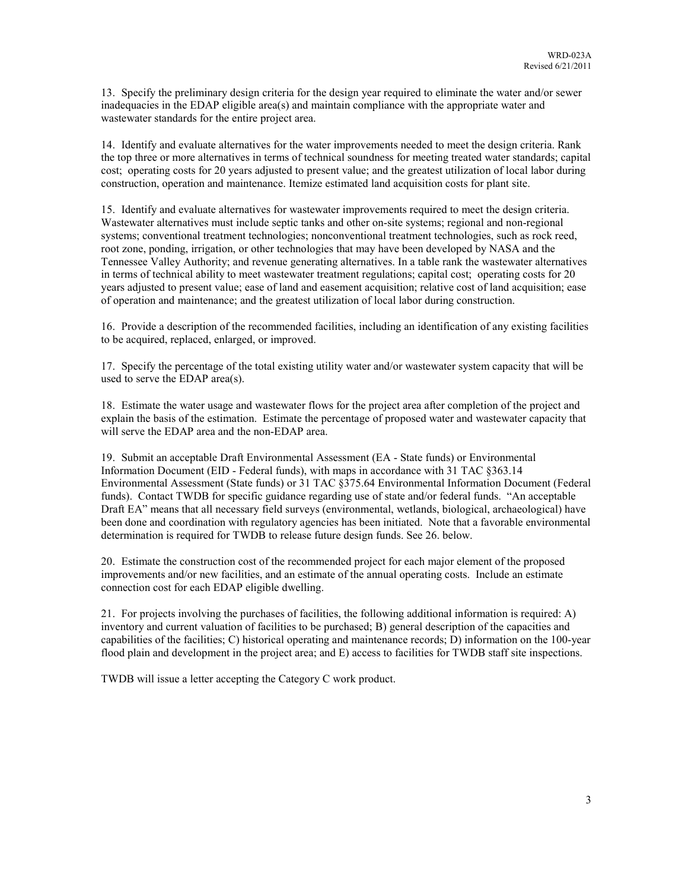13. Specify the preliminary design criteria for the design year required to eliminate the water and/or sewer inadequacies in the EDAP eligible area(s) and maintain compliance with the appropriate water and wastewater standards for the entire project area.

14. Identify and evaluate alternatives for the water improvements needed to meet the design criteria. Rank the top three or more alternatives in terms of technical soundness for meeting treated water standards; capital cost; operating costs for 20 years adjusted to present value; and the greatest utilization of local labor during construction, operation and maintenance. Itemize estimated land acquisition costs for plant site.

15. Identify and evaluate alternatives for wastewater improvements required to meet the design criteria. Wastewater alternatives must include septic tanks and other on-site systems; regional and non-regional systems; conventional treatment technologies; nonconventional treatment technologies, such as rock reed, root zone, ponding, irrigation, or other technologies that may have been developed by NASA and the Tennessee Valley Authority; and revenue generating alternatives. In a table rank the wastewater alternatives in terms of technical ability to meet wastewater treatment regulations; capital cost; operating costs for 20 years adjusted to present value; ease of land and easement acquisition; relative cost of land acquisition; ease of operation and maintenance; and the greatest utilization of local labor during construction.

16. Provide a description of the recommended facilities, including an identification of any existing facilities to be acquired, replaced, enlarged, or improved.

17. Specify the percentage of the total existing utility water and/or wastewater system capacity that will be used to serve the EDAP area(s).

18. Estimate the water usage and wastewater flows for the project area after completion of the project and explain the basis of the estimation. Estimate the percentage of proposed water and wastewater capacity that will serve the EDAP area and the non-EDAP area.

19. Submit an acceptable Draft Environmental Assessment (EA - State funds) or Environmental Information Document (EID - Federal funds), with maps in accordance with 31 TAC §363.14 Environmental Assessment (State funds) or 31 TAC §375.64 Environmental Information Document (Federal funds). Contact TWDB for specific guidance regarding use of state and/or federal funds. "An acceptable Draft EA" means that all necessary field surveys (environmental, wetlands, biological, archaeological) have been done and coordination with regulatory agencies has been initiated. Note that a favorable environmental determination is required for TWDB to release future design funds. See 26. below.

20. Estimate the construction cost of the recommended project for each major element of the proposed improvements and/or new facilities, and an estimate of the annual operating costs. Include an estimate connection cost for each EDAP eligible dwelling.

21. For projects involving the purchases of facilities, the following additional information is required: A) inventory and current valuation of facilities to be purchased; B) general description of the capacities and capabilities of the facilities; C) historical operating and maintenance records; D) information on the 100-year flood plain and development in the project area; and E) access to facilities for TWDB staff site inspections.

TWDB will issue a letter accepting the Category C work product.